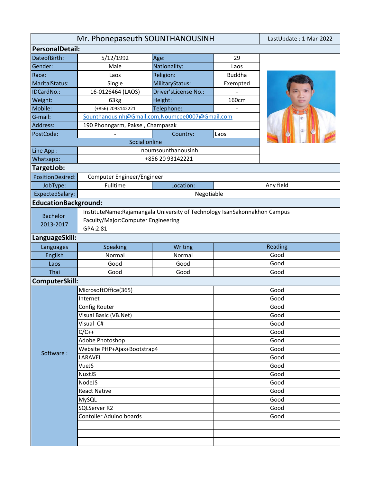| Mr. Phonepaseuth SOUNTHANOUSINH | LastUpdate: 1-Mar-2022                                                                                           |                             |               |           |  |
|---------------------------------|------------------------------------------------------------------------------------------------------------------|-----------------------------|---------------|-----------|--|
| <b>PersonalDetail:</b>          |                                                                                                                  |                             |               |           |  |
| DateofBirth:                    | 5/12/1992                                                                                                        | Age:                        | 29            |           |  |
| Gender:                         | Male                                                                                                             | Nationality:                | Laos          |           |  |
| Race:                           | Laos                                                                                                             | Religion:                   | <b>Buddha</b> |           |  |
| MaritalStatus:                  | Single                                                                                                           | MilitaryStatus:             | Exempted      |           |  |
| IDCardNo.:                      | 16-0126464 (LAOS)                                                                                                | Driver'sLicense No.:        |               |           |  |
| Weight:                         | 63kg                                                                                                             | Height:                     | 160cm         |           |  |
| Mobile:                         | (+856) 2093142221                                                                                                | Telephone:                  |               |           |  |
| G-mail:                         | Sounthanousinh@Gmail.com,Noumcpe0007@Gmail.com                                                                   |                             |               |           |  |
| Address:                        | 190 Phonngarm, Pakse, Champasak<br>œ                                                                             |                             |               |           |  |
| PostCode:                       |                                                                                                                  | Country:                    | Laos          |           |  |
|                                 | Social online                                                                                                    |                             |               |           |  |
| Line App:                       |                                                                                                                  | noumsounthanousinh          |               |           |  |
| +856 20 93142221<br>Whatsapp:   |                                                                                                                  |                             |               |           |  |
| TargetJob:                      |                                                                                                                  |                             |               |           |  |
| PositionDesired:                | Computer Engineer/Engineer                                                                                       |                             |               |           |  |
| JobType:                        | Fulltime                                                                                                         | Location:                   |               | Any field |  |
| ExpectedSalary:                 |                                                                                                                  | Negotiable                  |               |           |  |
| <b>EducationBackground:</b>     |                                                                                                                  |                             |               |           |  |
| <b>Bachelor</b>                 | InstituteName: Rajamangala University of Technology IsanSakonnakhon Campus<br>Faculty/Major:Computer Engineering |                             |               |           |  |
| 2013-2017                       | GPA:2.81                                                                                                         |                             |               |           |  |
| LanguageSkill:                  |                                                                                                                  |                             |               |           |  |
| Languages                       | Speaking                                                                                                         | Writing                     |               | Reading   |  |
| English                         | Normal                                                                                                           | Normal                      |               | Good      |  |
| Laos                            | Good                                                                                                             | Good                        |               | Good      |  |
| Thai                            | Good                                                                                                             | Good                        |               | Good      |  |
| ComputerSkill:                  |                                                                                                                  |                             |               |           |  |
|                                 | MicrosoftOffice(365)                                                                                             |                             | Good          |           |  |
|                                 | Internet                                                                                                         |                             | Good          |           |  |
|                                 | Config Router                                                                                                    |                             |               | Good      |  |
|                                 | Visual Basic (VB.Net)                                                                                            |                             | Good          |           |  |
|                                 | Visual C#                                                                                                        |                             |               | Good      |  |
|                                 | $C/C++$                                                                                                          |                             | Good          |           |  |
|                                 | Adobe Photoshop                                                                                                  |                             |               | Good      |  |
| Software:                       |                                                                                                                  | Website PHP+Ajax+Bootstrap4 |               | Good      |  |
|                                 | LARAVEL                                                                                                          |                             |               | Good      |  |
|                                 | VueJS                                                                                                            |                             | Good          |           |  |
|                                 | NuxtJS                                                                                                           |                             |               | Good      |  |
|                                 | NodeJS                                                                                                           |                             |               | Good      |  |
|                                 | <b>React Native</b>                                                                                              |                             |               | Good      |  |
|                                 | MySQL                                                                                                            |                             | Good          |           |  |
|                                 | SQLServer R2                                                                                                     |                             | Good          |           |  |
|                                 | <b>Contoller Aduino boards</b>                                                                                   |                             |               | Good      |  |
|                                 |                                                                                                                  |                             |               |           |  |
|                                 |                                                                                                                  |                             |               |           |  |
|                                 |                                                                                                                  |                             |               |           |  |
|                                 |                                                                                                                  |                             |               |           |  |